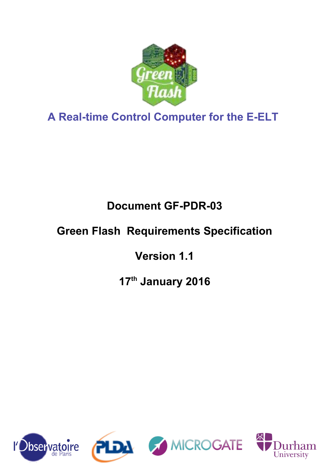

**A Real-time Control Computer for the E-ELT**

**Document GF-PDR-03**

# **Green Flash Requirements Specification**

**Version 1.1**

**17th January 2016**



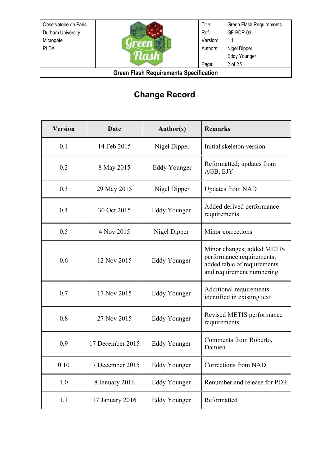

Title: Ref: Version: Authors: Page: Green Flash Requirements GF-PDR-03 1.1 Nigel Dipper Eddy Younger 2 of 25

**Green Flash Requirements Specification**

# **Change Record**

| <b>Version</b> | <b>Date</b>      | <b>Author(s)</b>    | <b>Remarks</b>                                                                                                       |
|----------------|------------------|---------------------|----------------------------------------------------------------------------------------------------------------------|
| 0.1            | 14 Feb 2015      | Nigel Dipper        | Initial skeleton version                                                                                             |
| 0.2            | 8 May 2015       | Eddy Younger        | Reformatted; updates from<br>AGB, EJY                                                                                |
| 0.3            | 29 May 2015      | Nigel Dipper        | <b>Updates from NAD</b>                                                                                              |
| 0.4            | 30 Oct 2015      | Eddy Younger        | Added derived performance<br>requirements                                                                            |
| 0.5            | 4 Nov 2015       | Nigel Dipper        | Minor corrections                                                                                                    |
| 0.6            | 12 Nov 2015      | <b>Eddy Younger</b> | Minor changes; added METIS<br>performance requirements;<br>added table of requirements<br>and requirement numbering. |
| 0.7            | 17 Nov 2015      | <b>Eddy Younger</b> | Additional requirements<br>identified in existing text                                                               |
| 0.8            | 27 Nov 2015      | Eddy Younger        | Revised METIS performance<br>requirements                                                                            |
| 0.9            | 17 December 2015 | Eddy Younger        | Comments from Roberto,<br>Damien                                                                                     |
| 0.10           | 17 December 2015 | <b>Eddy Younger</b> | Corrections from NAD                                                                                                 |
| 1.0            | 8 January 2016   | <b>Eddy Younger</b> | Renumber and release for PDR                                                                                         |
| 1.1            | 17 January 2016  | Eddy Younger        | Reformatted                                                                                                          |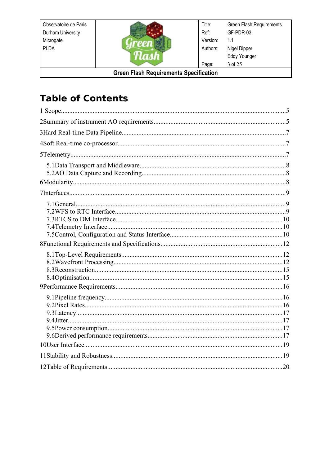

Green Flash Requirements Title: GF-PDR-03 Ref: Version:  $1.1$ Nigel Dipper Authors: Eddy Younger  $3$  of  $25$ Page:

**Green Flash Requirements Specification** 

# **Table of Contents**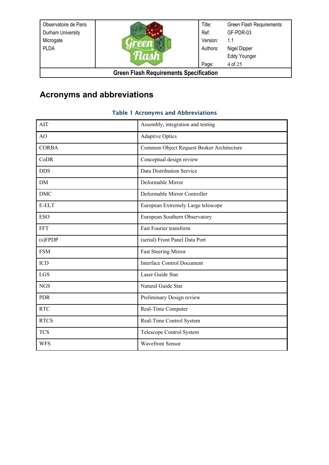| Observatoire de Paris                         |  | Title:   | Green Flash Requirements |
|-----------------------------------------------|--|----------|--------------------------|
| Durham University                             |  | Ref:     | GF-PDR-03                |
| Microgate                                     |  | Version: | 1.1                      |
| <b>PLDA</b>                                   |  | Authors: | Nigel Dipper             |
|                                               |  |          | <b>Eddy Younger</b>      |
|                                               |  | Page:    | 4 of 25                  |
| <b>Green Flash Requirements Specification</b> |  |          |                          |

# **Acronyms and abbreviations**

#### Table 1 Acronyms and Abbreviations

| <b>AIT</b>   | Assembly, integration and testing         |
|--------------|-------------------------------------------|
| AO           | <b>Adaptive Optics</b>                    |
| <b>CORBA</b> | Common Object Request Broker Architecture |
| CoDR         | Conceptual design review                  |
| <b>DDS</b>   | Data Distribution Service                 |
| <b>DM</b>    | Deformable Mirror                         |
| <b>DMC</b>   | Deformable Mirror Controller              |
| E-ELT        | European Extremely Large telescope        |
| <b>ESO</b>   | European Southern Observatory             |
| <b>FFT</b>   | Fast Fourier transform                    |
| (s) F P D P  | (serial) Front Panel Data Port            |
| <b>FSM</b>   | Fast Steering Mirror                      |
| ICD          | <b>Interface Control Document</b>         |
| <b>LGS</b>   | Laser Guide Star                          |
| <b>NGS</b>   | Natural Guide Star                        |
| <b>PDR</b>   | Preliminary Design review                 |
| <b>RTC</b>   | Real-Time Computer                        |
| <b>RTCS</b>  | Real-Time Control System                  |
| <b>TCS</b>   | Telescope Control System                  |
| WFS          | <b>Wavefront Sensor</b>                   |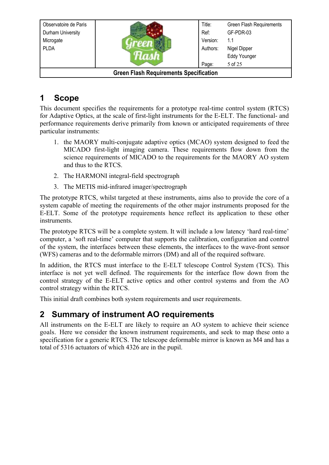| Observatoire de Paris                         |  | Title:   | Green Flash Requirements |
|-----------------------------------------------|--|----------|--------------------------|
|                                               |  |          |                          |
| Durham University                             |  | Ref:     | GF-PDR-03                |
| Microgate                                     |  | Version: | 1.1                      |
| <b>PLDA</b>                                   |  | Authors: | Nigel Dipper             |
|                                               |  |          | <b>Eddy Younger</b>      |
|                                               |  | Page:    | 5 of 25                  |
| <b>Green Flash Requirements Specification</b> |  |          |                          |

# **1 Scope**

This document specifies the requirements for a prototype real-time control system (RTCS) for Adaptive Optics, at the scale of first-light instruments for the E-ELT. The functional- and performance requirements derive primarily from known or anticipated requirements of three particular instruments:

- 1. the MAORY multi-conjugate adaptive optics (MCAO) system designed to feed the MICADO first-light imaging camera. These requirements flow down from the science requirements of MICADO to the requirements for the MAORY AO system and thus to the RTCS.
- 2. The HARMONI integral-field spectrograph
- 3. The METIS mid-infrared imager/spectrograph

The prototype RTCS, whilst targeted at these instruments, aims also to provide the core of a system capable of meeting the requirements of the other major instruments proposed for the E-ELT. Some of the prototype requirements hence reflect its application to these other instruments.

The prototype RTCS will be a complete system. It will include a low latency 'hard real-time' computer, a 'soft real-time' computer that supports the calibration, configuration and control of the system, the interfaces between these elements, the interfaces to the wave-front sensor (WFS) cameras and to the deformable mirrors (DM) and all of the required software.

In addition, the RTCS must interface to the E-ELT telescope Control System (TCS). This interface is not yet well defined. The requirements for the interface flow down from the control strategy of the E-ELT active optics and other control systems and from the AO control strategy within the RTCS.

This initial draft combines both system requirements and user requirements.

# **2 Summary of instrument AO requirements**

All instruments on the E-ELT are likely to require an AO system to achieve their science goals. Here we consider the known instrument requirements, and seek to map these onto a specification for a generic RTCS. The telescope deformable mirror is known as M4 and has a total of 5316 actuators of which 4326 are in the pupil.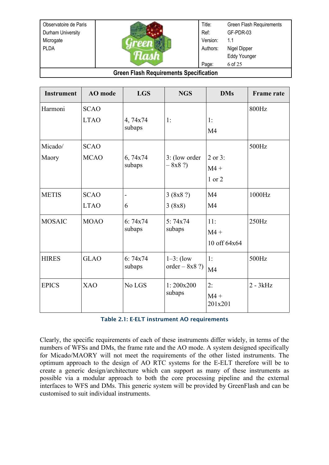

Title: Ref: Version: Authors: Page: Green Flash Requirements GF-PDR-03 1.1 Nigel Dipper Eddy Younger 6 of 25

#### **Green Flash Requirements Specification**

| <b>Instrument</b> | AO mode                    | <b>LGS</b>          | <b>NGS</b>                      | <b>DMs</b>                       | <b>Frame rate</b> |
|-------------------|----------------------------|---------------------|---------------------------------|----------------------------------|-------------------|
| Harmoni           | <b>SCAO</b><br><b>LTAO</b> | 4,74x74<br>subaps   | 1:                              | 1:<br>M <sub>4</sub>             | 800Hz             |
| Micado/<br>Maory  | <b>SCAO</b><br><b>MCAO</b> | 6,74x74<br>subaps   | 3: (low order<br>$-8x8$ ?)      | 2 or 3:<br>$M4 +$<br>1 or 2      | 500Hz             |
| <b>METIS</b>      | <b>SCAO</b><br><b>LTAO</b> | $\blacksquare$<br>6 | 3 (8x8 ?)<br>3(8x8)             | M <sub>4</sub><br>M <sub>4</sub> | 1000Hz            |
| <b>MOSAIC</b>     | <b>MOAO</b>                | 6:74x74<br>subaps   | 5:74x74<br>subaps               | 11:<br>$M4 +$<br>10 off 64x64    | 250Hz             |
| <b>HIRES</b>      | <b>GLAO</b>                | 6:74x74<br>subaps   | $1-3$ : (low<br>order $-8x8$ ?) | 1:<br>M <sub>4</sub>             | 500Hz             |
| <b>EPICS</b>      | <b>XAO</b>                 | No LGS              | 1:200x200<br>subaps             | 2:<br>$M4 +$<br>201x201          | $2 - 3kHz$        |

#### <span id="page-5-0"></span>Table 2.1: E-ELT instrument AO requirements

Clearly, the specific requirements of each of these instruments differ widely, in terms of the numbers of WFSs and DMs, the frame rate and the AO mode. A system designed specifically for Micado/MAORY will not meet the requirements of the other listed instruments. The optimum approach to the design of AO RTC systems for the E-ELT therefore will be to create a generic design/architecture which can support as many of these instruments as possible via a modular approach to both the core processing pipeline and the external interfaces to WFS and DMs. This generic system will be provided by GreenFlash and can be customised to suit individual instruments.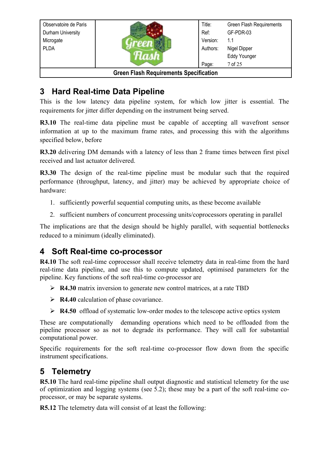| Observatoire de Paris                         |  | Title:   | Green Flash Requirements |
|-----------------------------------------------|--|----------|--------------------------|
|                                               |  |          |                          |
| Durham University                             |  | Ref:     | GF-PDR-03                |
| Microgate                                     |  | Version: | 1.1                      |
| PLDA                                          |  | Authors: | Nigel Dipper             |
|                                               |  |          | <b>Eddy Younger</b>      |
|                                               |  | Page:    | 7 of 25                  |
| <b>Green Flash Requirements Specification</b> |  |          |                          |

# <span id="page-6-9"></span>**3 Hard Real-time Data Pipeline**

This is the low latency data pipeline system, for which low jitter is essential. The requirements for jitter differ depending on the instrument being served.

<span id="page-6-11"></span>**R3.10** The real-time data pipeline must be capable of accepting all wavefront sensor information at up to the maximum frame rates, and processing this with the algorithms specified below, before

<span id="page-6-3"></span>**R3.20** delivering DM demands with a latency of less than 2 frame times between first pixel received and last actuator delivered.

<span id="page-6-10"></span>**R3.30** The design of the real-time pipeline must be modular such that the required performance (throughput, latency, and jitter) may be achieved by appropriate choice of hardware:

- 1. sufficiently powerful sequential computing units, as these become available
- 2. sufficient numbers of concurrent processing units/coprocessors operating in parallel

The implications are that the design should be highly parallel, with sequential bottlenecks reduced to a minimum (ideally eliminated).

# <span id="page-6-4"></span>**4 Soft Real-time co-processor**

<span id="page-6-8"></span>**R4.10** The soft real-time coprocessor shall receive telemetry data in real-time from the hard real-time data pipeline, and use this to compute updated, optimised parameters for the pipeline. Key functions of the soft real-time co-processor are

- <span id="page-6-7"></span>➢ **R4.30** matrix inversion to generate new control matrices, at a rate TBD
- <span id="page-6-6"></span>➢ **R4.40** calculation of phase covariance.
- <span id="page-6-5"></span>➢ **R4.50** offload of systematic low-order modes to the telescope active optics system

These are computationally demanding operations which need to be offloaded from the pipeline processor so as not to degrade its performance. They will call for substantial computational power.

Specific requirements for the soft real-time co-processor flow down from the specific instrument specifications.

# <span id="page-6-2"></span>**5 Telemetry**

<span id="page-6-1"></span>**R5.10** The hard real-time pipeline shall output diagnostic and statistical telemetry for the use of optimization and logging systems (see [5.2\)](#page-7-0); these may be a part of the soft real-time coprocessor, or may be separate systems.

<span id="page-6-0"></span>**R5.12** The telemetry data will consist of at least the following: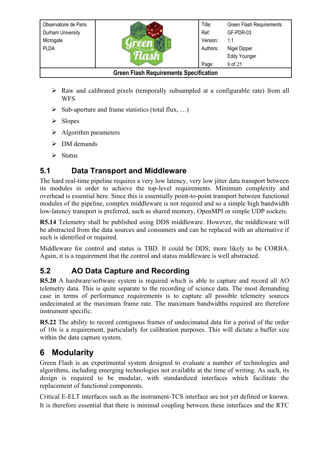- ➢ Raw and calibrated pixels (temporally subsampled at a configurable rate) from all WFS
- $\triangleright$  Sub-aperture and frame statistics (total flux, ...)
- ➢ Slopes
- $\triangleright$  Algorithm parameters
- ➢ DM demands
- <span id="page-7-5"></span>➢ Status

# **5.1 Data Transport and Middleware**

The hard real-time pipeline requires a very low latency, very low jitter data transport between its modules in order to achieve the top-level requirements. Minimum complexity and overhead is essential here. Since this is essentially point-to-point transport between functional modules of the pipeline, complex middleware is not required and so a simple high bandwidth low-latency transport is preferred, such as shared memory, OpenMPI or simple UDP sockets.

<span id="page-7-1"></span>**R5.14** Telemetry shall be published using DDS middleware. However, the middleware will be abstracted from the data sources and consumers and can be replaced with an alternative if such is identified or required.

Middleware for control and status is TBD. It could be DDS; more likely to be CORBA. Again, it is a requirement that the control and status middleware is well abstracted.

# <span id="page-7-0"></span>**5.2 AO Data Capture and Recording**

<span id="page-7-4"></span>**R5.20** A hardware/software system is required which is able to capture and record all AO telemetry data. This is quite separate to the recording of science data. The most demanding case in terms of performance requirements is to capture all possible telemetry sources undecimated at the maximum frame rate. The maximum bandwidths required are therefore instrument specific.

<span id="page-7-3"></span>**R5.22** The ability to record contiguous frames of undecimated data for a period of the order of 10s is a requirement, particularly for calibration purposes. This will dictate a buffer size within the data capture system.

# <span id="page-7-2"></span>**6 Modularity**

Green Flash is an experimental system designed to evaluate a number of technologies and algorithms, including emerging technologies not available at the time of writing. As such, its design is required to be modular, with standardized interfaces which facilitate the replacement of functional components.

Critical E-ELT interfaces such as the instrument-TCS interface are not yet defined or known. It is therefore essential that there is minimal coupling between these interfaces and the RTC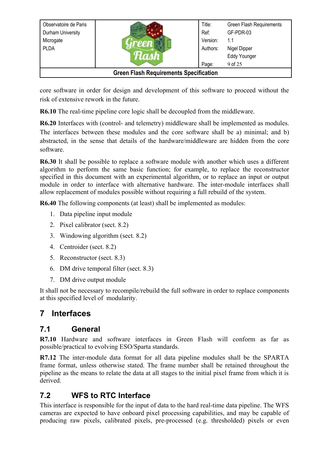| Observatoire de Paris                         |  | Title:   | <b>Green Flash Requirements</b> |
|-----------------------------------------------|--|----------|---------------------------------|
| Durham University                             |  | Ref:     | GF-PDR-03                       |
| Microgate                                     |  | Version: | 1.1                             |
| <b>PLDA</b>                                   |  | Authors: | Nigel Dipper                    |
|                                               |  |          | <b>Eddy Younger</b>             |
|                                               |  | Page:    | 9 of 25                         |
| <b>Green Flash Requirements Specification</b> |  |          |                                 |

core software in order for design and development of this software to proceed without the risk of extensive rework in the future.

<span id="page-8-1"></span>**R6.10** The real-time pipeline core logic shall be decoupled from the middleware.

<span id="page-8-7"></span>**R6.20** Interfaces with (control- and telemetry) middleware shall be implemented as modules. The interfaces between these modules and the core software shall be a) minimal; and b) abstracted, in the sense that details of the hardware/middleware are hidden from the core software.

<span id="page-8-6"></span>**R6.30** It shall be possible to replace a software module with another which uses a different algorithm to perform the same basic function; for example, to replace the reconstructor specified in this document with an experimental algorithm, or to replace an input or output module in order to interface with alternative hardware. The inter-module interfaces shall allow replacement of modules possible without requiring a full rebuild of the system.

<span id="page-8-5"></span>**R6.40** The following components (at least) shall be implemented as modules:

- 1. Data pipeline input module
- 2. Pixel calibrator (sect. [8.2\)](#page-11-0)
- 3. Windowing algorithm (sect. [8.2\)](#page-12-1)
- 4. Centroider (sect. [8.2\)](#page-12-0)
- 5. Reconstructor (sect. [8.3\)](#page-14-1)
- 6. DM drive temporal filter (sect. [8.3\)](#page-14-0)
- 7. DM drive output module

It shall not be necessary to recompile/rebuild the full software in order to replace components at this specified level of modularity.

# **7 Interfaces**

### <span id="page-8-3"></span>**7.1 General**

<span id="page-8-4"></span>**R7.10** Hardware and software interfaces in Green Flash will conform as far as possible/practical to evolving ESO/Sparta standards.

<span id="page-8-0"></span>**R7.12** The inter-module data format for all data pipeline modules shall be the SPARTA frame format, unless otherwise stated. The frame number shall be retained throughout the pipeline as the means to relate the data at all stages to the initial pixel frame from which it is derived.

# <span id="page-8-2"></span>**7.2 WFS to RTC Interface**

This interface is responsible for the input of data to the hard real-time data pipeline. The WFS cameras are expected to have onboard pixel processing capabilities, and may be capable of producing raw pixels, calibrated pixels, pre-processed (e.g. thresholded) pixels or even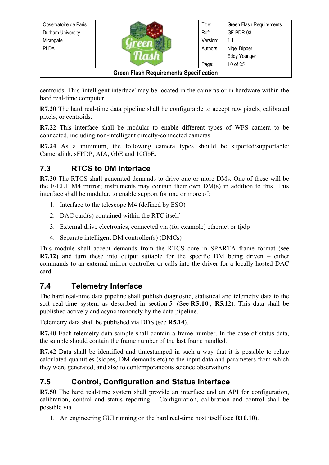| Observatoire de Paris                         |  | Title:   | <b>Green Flash Requirements</b> |
|-----------------------------------------------|--|----------|---------------------------------|
| Durham University                             |  | Ref:     | GF-PDR-03                       |
| Microgate                                     |  | Version: | 1.1                             |
| <b>PLDA</b>                                   |  | Authors: | Nigel Dipper                    |
|                                               |  |          | <b>Eddy Younger</b>             |
|                                               |  | Page:    | 10 of 25                        |
| <b>Green Flash Requirements Specification</b> |  |          |                                 |

centroids. This 'intelligent interface' may be located in the cameras or in hardware within the hard real-time computer.

<span id="page-9-2"></span>**R7.20** The hard real-time data pipeline shall be configurable to accept raw pixels, calibrated pixels, or centroids.

<span id="page-9-9"></span>**R7.22** This interface shall be modular to enable different types of WFS camera to be connected, including non-intelligent directly-connected cameras.

<span id="page-9-8"></span>**R7.24** As a minimum, the following camera types should be suported/supportable: Cameralink, sFPDP, AIA, GbE and 10GbE.

### <span id="page-9-7"></span>**7.3 RTCS to DM Interface**

<span id="page-9-1"></span>**R7.30** The RTCS shall generated demands to drive one or more DMs. One of these will be the E-ELT M4 mirror; instruments may contain their own DM(s) in addition to this. This interface shall be modular, to enable support for one or more of:

- 1. Interface to the telescope M4 (defined by ESO)
- 2. DAC card(s) contained within the RTC itself
- 3. External drive electronics, connected via (for example) ethernet or fpdp
- 4. Separate intelligent DM controller(s) (DMCs)

This module shall accept demands from the RTCS core in SPARTA frame format (see **[R7.12\)](#page-8-0)** and turn these into output suitable for the specific DM being driven – either commands to an external mirror controller or calls into the driver for a locally-hosted DAC card.

### <span id="page-9-4"></span>**7.4 Telemetry Interface**

The hard real-time data pipeline shall publish diagnostic, statistical and telemetry data to the soft real-time system as described in section [5](#page-6-2) (See **[R5.10](#page-6-1)** , **[R5.12](#page-6-0)**). This data shall be published actively and asynchronously by the data pipeline.

Telemetry data shall be published via DDS (see **[R5.14](#page-7-1)**).

<span id="page-9-6"></span>**R7.40** Each telemetry data sample shall contain a frame number. In the case of status data, the sample should contain the frame number of the last frame handled.

<span id="page-9-5"></span>**R7.42** Data shall be identified and timestamped in such a way that it is possible to relate calculated quantities (slopes, DM demands etc) to the input data and parameters from which they were generated, and also to contemporaneous science observations.

# <span id="page-9-3"></span>**7.5 Control, Configuration and Status Interface**

<span id="page-9-0"></span>**R7.50** The hard real-time system shall provide an interface and an API for configuration, calibration, control and status reporting. Configuration, calibration and control shall be possible via

1. An engineering GUI running on the hard real-time host itself (see **[R10.10](#page-18-0)**).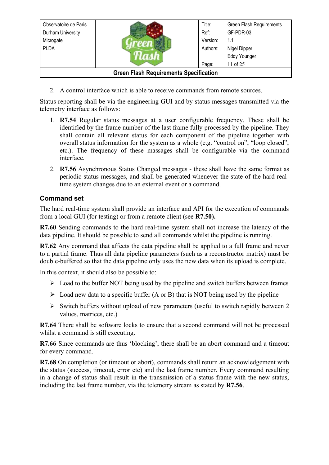| Observatoire de Paris                         |  | Title:   | Green Flash Requirements |
|-----------------------------------------------|--|----------|--------------------------|
| Durham University                             |  | Ref:     | GF-PDR-03                |
| Microgate                                     |  | Version: | 1.1                      |
| <b>PLDA</b>                                   |  | Authors: | Nigel Dipper             |
|                                               |  |          | <b>Eddy Younger</b>      |
|                                               |  | Page:    | 11 of 25                 |
| <b>Green Flash Requirements Specification</b> |  |          |                          |

2. A control interface which is able to receive commands from remote sources.

Status reporting shall be via the engineering GUI and by status messages transmitted via the telemetry interface as follows:

- <span id="page-10-1"></span>1. **R7.54** Regular status messages at a user configurable frequency. These shall be identified by the frame number of the last frame fully processed by the pipeline. They shall contain all relevant status for each component of the pipeline together with overall status information for the system as a whole (e.g. "control on", "loop closed", etc.). The frequency of these massages shall be configurable via the command interface.
- <span id="page-10-0"></span>2. **R7.56** Asynchronous Status Changed messages - these shall have the same format as periodic status messages, and shall be generated whenever the state of the hard realtime system changes due to an external event or a command.

### **Command set**

The hard real-time system shall provide an interface and API for the execution of commands from a local GUI (for testing) or from a remote client (see **[R7.50\)](#page-9-0).**

<span id="page-10-6"></span>**R7.60** Sending commands to the hard real-time system shall not increase the latency of the data pipeline. It should be possible to send all commands whilst the pipeline is running.

<span id="page-10-5"></span>**R7.62** Any command that affects the data pipeline shall be applied to a full frame and never to a partial frame. Thus all data pipeline parameters (such as a reconstructor matrix) must be double-buffered so that the data pipeline only uses the new data when its upload is complete.

In this context, it should also be possible to:

- $\triangleright$  Load to the buffer NOT being used by the pipeline and switch buffers between frames
- $\triangleright$  Load new data to a specific buffer (A or B) that is NOT being used by the pipeline
- ➢ Switch buffers without upload of new parameters (useful to switch rapidly between 2 values, matrices, etc.)

<span id="page-10-4"></span>**R7.64** There shall be software locks to ensure that a second command will not be processed whilst a command is still executing.

<span id="page-10-3"></span>**R7.66** Since commands are thus 'blocking', there shall be an abort command and a timeout for every command.

<span id="page-10-2"></span>**R7.68** On completion (or timeout or abort), commands shall return an acknowledgement with the status (success, timeout, error etc) and the last frame number. Every command resulting in a change of status shall result in the transmission of a status frame with the new status, including the last frame number, via the telemetry stream as stated by **[R7.56](#page-10-0)**.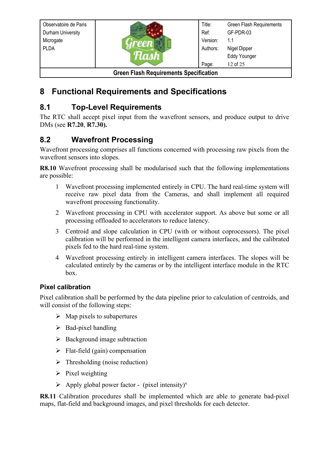| Observatoire de Paris                         |  | Title:   | Green Flash Requirements |
|-----------------------------------------------|--|----------|--------------------------|
| Durham University                             |  | Ref:     | GF-PDR-03                |
| Microgate                                     |  | Version: | 1.1                      |
| <b>PLDA</b>                                   |  | Authors: | Nigel Dipper             |
|                                               |  |          | <b>Eddy Younger</b>      |
|                                               |  | Page:    | 12 of 25                 |
| <b>Green Flash Requirements Specification</b> |  |          |                          |

# **8 Functional Requirements and Specifications**

# **8.1 Top-Level Requirements**

The RTC shall accept pixel input from the wavefront sensors, and produce output to drive DMs (see **[R7.20](#page-9-2)**, **[R7.30\)](#page-9-1).**

# <span id="page-11-1"></span>**8.2 Wavefront Processing**

Wavefront processing comprises all functions concerned with processing raw pixels from the wavefront sensors into slopes.

<span id="page-11-3"></span>**R8.10** Wavefront processing shall be modularised such that the following implementations are possible:

- 1 Wavefront processing implemented entirely in CPU. The hard real-time system will receive raw pixel data from the Cameras, and shall implement all required wavefront processing functionality.
- 2 Wavefront processing in CPU with accelerator support. As above but some or all processing offloaded to accelerators to reduce latency.
- 3 Centroid and slope calculation in CPU (with or without coprocessors). The pixel calibration will be performed in the intelligent camera interfaces, and the calibrated pixels fed to the hard real-time system.
- 4 Wavefront processing entirely in intelligent camera interfaces. The slopes will be calculated entirely by the cameras or by the intelligent interface module in the RTC box.

#### <span id="page-11-0"></span>**Pixel calibration**

Pixel calibration shall be performed by the data pipeline prior to calculation of centroids, and will consist of the following steps:

- $\triangleright$  Map pixels to subapertures
- $\triangleright$  Bad-pixel handling
- $\triangleright$  Background image subtraction
- $\triangleright$  Flat-field (gain) compensation
- $\triangleright$  Thresholding (noise reduction)
- $\triangleright$  Pixel weighting
- $\triangleright$  Apply global power factor (pixel intensity)<sup>n</sup>

<span id="page-11-2"></span>**R8.11** Calibration procedures shall be implemented which are able to generate bad-pixel maps, flat-field and background images, and pixel thresholds for each detector.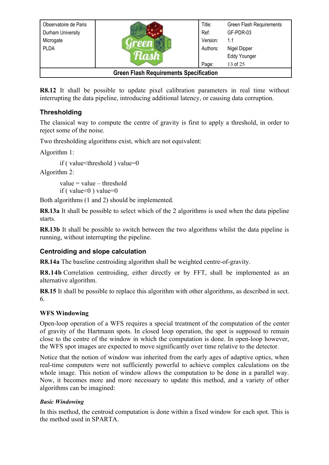| Observatoire de Paris                         |  | Title:   | Green Flash Requirements |
|-----------------------------------------------|--|----------|--------------------------|
| Durham University                             |  | Ref:     | GF-PDR-03                |
| Microgate                                     |  | Version: | 1.1                      |
| <b>PLDA</b>                                   |  | Authors: | Nigel Dipper             |
|                                               |  |          | <b>Eddy Younger</b>      |
|                                               |  | Page:    | 13 of 25                 |
| <b>Green Flash Requirements Specification</b> |  |          |                          |

<span id="page-12-7"></span>**R8.12** It shall be possible to update pixel calibration parameters in real time without interrupting the data pipeline, introducing additional latency, or causing data corruption.

### **Thresholding**

The classical way to compute the centre of gravity is first to apply a threshold, in order to reject some of the noise.

Two thresholding algorithms exist, which are not equivalent:

Algorithm 1:

if ( value<threshold ) value=0

Algorithm 2:

 $value = value - threshold$ if ( $value \leq 0$ ) value=0

Both algorithms (1 and 2) should be implemented.

<span id="page-12-6"></span>**R8.13a** It shall be possible to select which of the 2 algorithms is used when the data pipeline starts.

<span id="page-12-5"></span>**R8.13b** It shall be possible to switch between the two algorithms whilst the data pipeline is running, without interrupting the pipeline.

#### <span id="page-12-0"></span>**Centroiding and slope calculation**

<span id="page-12-4"></span>**R8.14a** The baseline centroiding algorithm shall be weighted centre-of-gravity.

<span id="page-12-3"></span>**R8.14b** Correlation centroiding, either directly or by FFT, shall be implemented as an alternative algorithm.

<span id="page-12-2"></span>**R8.15** It shall be possible to replace this algorithm with other algorithms, as described in sect. [6.](#page-7-2)

#### <span id="page-12-1"></span>**WFS Windowing**

Open-loop operation of a WFS requires a special treatment of the computation of the center of gravity of the Hartmann spots. In closed loop operation, the spot is supposed to remain close to the centre of the window in which the computation is done. In open-loop however, the WFS spot images are expected to move significantly over time relative to the detector.

Notice that the notion of window was inherited from the early ages of adaptive optics, when real-time computers were not sufficiently powerful to achieve complex calculations on the whole image. This notion of window allows the computation to be done in a parallel way. Now, it becomes more and more necessary to update this method, and a variety of other algorithms can be imagined:

#### *Basic Windowing*

In this method, the centroid computation is done within a fixed window for each spot. This is the method used in SPARTA.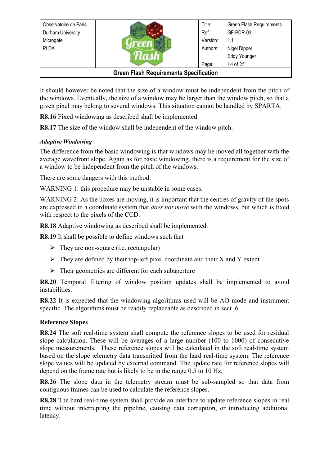| Observatoire de Paris                         |  | Title:   | Green Flash Requirements |
|-----------------------------------------------|--|----------|--------------------------|
| Durham University                             |  | Ref:     | GF-PDR-03                |
| Microgate                                     |  | Version: | 1.1                      |
| <b>PLDA</b>                                   |  | Authors: | Nigel Dipper             |
|                                               |  |          | Eddy Younger             |
|                                               |  | Page:    | 14 of 25                 |
| <b>Green Flash Requirements Specification</b> |  |          |                          |

It should however be noted that the size of a window must be independent from the pitch of the windows. Eventually, the size of a window may be larger than the window pitch, so that a given pixel may belong to several windows. This situation cannot be handled by SPARTA.

<span id="page-13-1"></span>**R8.16** Fixed windowing as described shall be implemented.

<span id="page-13-0"></span>**R8.17** The size of the window shall be independent of the window pitch.

#### *Adaptive Windowing*

The difference from the basic windowing is that windows may be moved all together with the average wavefront slope. Again as for basic windowing, there is a requirement for the size of a window to be independent from the pitch of the windows.

There are some dangers with this method:

WARNING 1: this procedure may be unstable in some cases.

WARNING 2: As the boxes are moving, it is important that the centres of gravity of the spots are expressed in a coordinate system that *does not move* with the windows, but which is fixed with respect to the pixels of the CCD.

<span id="page-13-8"></span>**R8.18** Adaptive windowing as described shall be implemented.

<span id="page-13-7"></span>**R8.19** It shall be possible to define windows such that

- $\triangleright$  They are non-square (i.e. rectangular)
- $\triangleright$  They are defined by their top-left pixel coordinate and their X and Y extent
- $\triangleright$  Their geometries are different for each subaperture

<span id="page-13-6"></span>**R8.20** Temporal filtering of window position updates shall be implemented to avoid instabilities.

<span id="page-13-5"></span>**R8.22** It is expected that the windowing algorithms used will be AO mode and instrument specific. The algorithms must be readily replaceable as described in sect. [6.](#page-7-2)

#### **Reference Slopes**

<span id="page-13-4"></span>**R8.24** The soft real-time system shall compute the reference slopes to be used for residual slope calculation. These will be averages of a large number (100 to 1000) of consecutive slope measurements. These reference slopes will be calculated in the soft real-time system based on the slope telemetry data transmitted from the hard real-time system. The reference slope values will be updated by external command. The update rate for reference slopes will depend on the frame rate but is likely to be in the range 0.5 to 10 Hz.

<span id="page-13-3"></span>**R8.26** The slope data in the telemetry stream must be sub-sampled so that data from contiguous frames can be used to calculate the reference slopes.

<span id="page-13-2"></span>**R8.28** The hard real-time system shall provide an interface to update reference slopes in real time without interrupting the pipeline, causing data corruption, or introducing additional latency.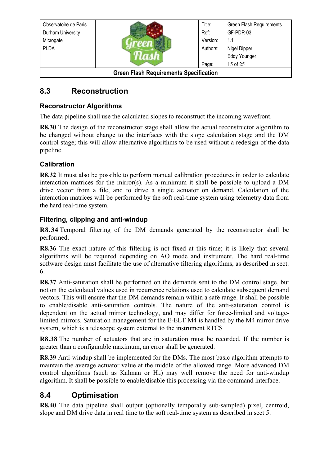| Observatoire de Paris                         |  | Title:   | Green Flash Requirements |
|-----------------------------------------------|--|----------|--------------------------|
| Durham University                             |  | Ref:     | GF-PDR-03                |
| Microgate                                     |  | Version: | 1.1                      |
| <b>PLDA</b>                                   |  | Authors: | Nigel Dipper             |
|                                               |  |          | <b>Eddy Younger</b>      |
|                                               |  | Page:    | 15 of 25                 |
| <b>Green Flash Requirements Specification</b> |  |          |                          |

### <span id="page-14-4"></span>**8.3 Reconstruction**

#### <span id="page-14-1"></span>**Reconstructor Algorithms**

The data pipeline shall use the calculated slopes to reconstruct the incoming wavefront.

<span id="page-14-11"></span>**R8.30** The design of the reconstructor stage shall allow the actual reconstructor algorithm to be changed without change to the interfaces with the slope calculation stage and the DM control stage; this will allow alternative algorithms to be used without a redesign of the data pipeline.

#### **Calibration**

<span id="page-14-10"></span>**R8.32** It must also be possible to perform manual calibration procedures in order to calculate interaction matrices for the mirror(s). As a minimum it shall be possible to upload a DM drive vector from a file, and to drive a single actuator on demand. Calculation of the interaction matrices will be performed by the soft real-time system using telemetry data from the hard real-time system.

#### <span id="page-14-0"></span>**Filtering, clipping and anti-windup**

<span id="page-14-9"></span>**R8.34** Temporal filtering of the DM demands generated by the reconstructor shall be performed.

<span id="page-14-8"></span>**R8.36** The exact nature of this filtering is not fixed at this time; it is likely that several algorithms will be required depending on AO mode and instrument. The hard real-time software design must facilitate the use of alternative filtering algorithms, as described in sect. [6.](#page-7-2)

<span id="page-14-7"></span>**R8.37** Anti-saturation shall be performed on the demands sent to the DM control stage, but not on the calculated values used in recurrence relations used to calculate subsequent demand vectors. This will ensure that the DM demands remain within a safe range. It shall be possible to enable/disable anti-saturation controls. The nature of the anti-saturation control is dependent on the actual mirror technology, and may differ for force-limited and voltagelimited mirrors. Saturation management for the E-ELT M4 is handled by the M4 mirror drive system, which is a telescope system external to the instrument RTCS

<span id="page-14-6"></span>**R8.38** The number of actuators that are in saturation must be recorded. If the number is greater than a configurable maximum, an error shall be generated.

<span id="page-14-5"></span>**R8.39** Anti-windup shall be implemented for the DMs. The most basic algorithm attempts to maintain the average actuator value at the middle of the allowed range. More advanced DM control algorithms (such as Kalman or  $H_{\infty}$ ) may well remove the need for anti-windup algorithm. It shall be possible to enable/disable this processing via the command interface.

### <span id="page-14-2"></span>**8.4 Optimisation**

<span id="page-14-3"></span>**R8.40** The data pipeline shall output (optionally temporally sub-sampled) pixel, centroid, slope and DM drive data in real time to the soft real-time system as described in sect [5.](#page-6-2)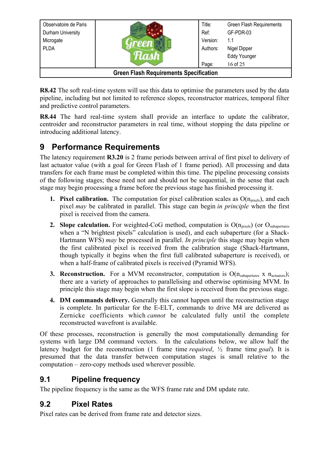| Observatoire de Paris                         |  | Title:   | Green Flash Requirements |
|-----------------------------------------------|--|----------|--------------------------|
| Durham University                             |  | Ref:     | GF-PDR-03                |
| Microgate                                     |  | Version: | 1.1                      |
| <b>PLDA</b>                                   |  | Authors: | Nigel Dipper             |
|                                               |  |          | <b>Eddy Younger</b>      |
|                                               |  | Page:    | 16 of 25                 |
| <b>Green Flash Requirements Specification</b> |  |          |                          |

<span id="page-15-0"></span>**R8.42** The soft real-time system will use this data to optimise the parameters used by the data pipeline, including but not limited to reference slopes, reconstructor matrices, temporal filter and predictive control parameters.

<span id="page-15-1"></span>**R8.44** The hard real-time system shall provide an interface to update the calibrator, centroider and reconstructor parameters in real time, without stopping the data pipeline or introducing additional latency.

# **9 Performance Requirements**

The latency requirement **[R3.20](#page-6-3)** is 2 frame periods between arrival of first pixel to delivery of last actuator value (with a goal for Green Flash of 1 frame period). All processing and data transfers for each frame must be completed within this time. The pipeline processing consists of the following stages; these need not and should not be sequential, in the sense that each stage may begin processing a frame before the previous stage has finished processing it.

- **1. Pixel calibration.** The computation for pixel calibration scales as  $O(n_{pixels})$ , and each pixel *may* be calibrated in parallel. This stage can begin *in principle* when the first pixel is received from the camera.
- **2. Slope calculation.** For weighted-CoG method, computation is O(n<sub>pixels</sub>) (or O<sub>subapertures</sub> when a "N brightest pixels" calculation is used), and each subaperture (for a Shack-Hartmann WFS) *may* be processed in parallel. *In principle* this stage may begin when the first calibrated pixel is received from the calibration stage (Shack-Hartmann, though typically it begins when the first full calibrated subaperture is received), or when a half-frame of calibrated pixels is received (Pyramid WFS).
- **3. Reconstruction.** For a MVM reconstructor, computation is  $O(n_{subapertures} \times n_{actuators})$ ; there are a variety of approaches to parallelising and otherwise optimising MVM. In principle this stage may begin when the first slope is received from the previous stage.
- **4. DM commands delivery.** Generally this cannot happen until the reconstruction stage is complete. In particular for the E-ELT, commands to drive M4 are delivered as Zernicke coefficients which *cannot* be calculated fully until the complete reconstructed wavefront is available.

Of these processes, reconstruction is generally the most computationally demanding for systems with large DM command vectors. In the calculations below, we allow half the latency budget for the reconstruction (1 frame time *required*, ½ frame time *goal*). It is presumed that the data transfer between computation stages is small relative to the computation – zero-copy methods used wherever possible.

### **9.1 Pipeline frequency**

The pipeline frequency is the same as the WFS frame rate and DM update rate.

### **9.2 Pixel Rates**

Pixel rates can be derived from frame rate and detector sizes.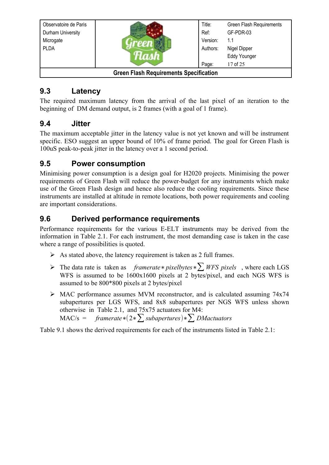| Observatoire de Paris                         |  | Title:   | Green Flash Requirements |
|-----------------------------------------------|--|----------|--------------------------|
| Durham University                             |  | Ref:     | GF-PDR-03                |
| Microgate                                     |  | Version: | 1.1                      |
| <b>PLDA</b>                                   |  | Authors: | Nigel Dipper             |
|                                               |  |          | <b>Eddy Younger</b>      |
|                                               |  | Page:    | 17 of 25                 |
| <b>Green Flash Requirements Specification</b> |  |          |                          |

### **9.3 Latency**

The required maximum latency from the arrival of the last pixel of an iteration to the beginning of DM demand output, is 2 frames (with a goal of 1 frame).

### **9.4 Jitter**

The maximum acceptable jitter in the latency value is not yet known and will be instrument specific. ESO suggest an upper bound of 10% of frame period. The goal for Green Flash is 100uS peak-to-peak jitter in the latency over a 1 second period.

### **9.5 Power consumption**

Minimising power consumption is a design goal for H2020 projects. Minimising the power requirements of Green Flash will reduce the power-budget for any instruments which make use of the Green Flash design and hence also reduce the cooling requirements. Since these instruments are installed at altitude in remote locations, both power requirements and cooling are important considerations.

### **9.6 Derived performance requirements**

Performance requirements for the various E-ELT instruments may be derived from the information in [Table 2.1.](#page-5-0) For each instrument, the most demanding case is taken in the case where a range of possibilities is quoted.

- $\triangleright$  As stated above, the latency requirement is taken as 2 full frames.
- ➢ The data rate is taken as *framerate*∗*pixelbytes*∗∑ *WFS pixels* , where each LGS WFS is assumed to be 1600x1600 pixels at 2 bytes/pixel, and each NGS WFS is assumed to be 800\*800 pixels at 2 bytes/pixel
- ➢ MAC performance assumes MVM reconstructor, and is calculated assuming 74x74 subapertures per LGS WFS, and 8x8 subapertures per NGS WFS unless shown otherwise in [Table 2.1,](#page-5-0) and 75x75 actuators for M4:
	- MAC/s = *framerate*∗(2∗∑*subapertures*)∗∑ *DMactuators*

[Table 9.1](#page-17-0) shows the derived requirements for each of the instruments listed in [Table 2.1:](#page-5-0)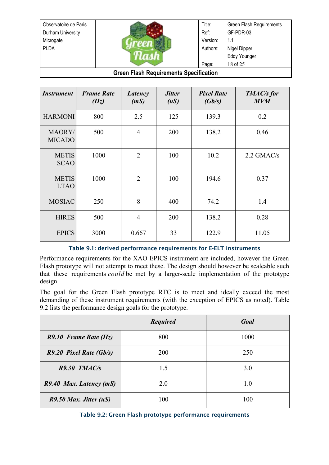Observatoire de Paris Durham University Microgate PLDA Title: Ref: Version: Authors: Page: Green Flash Requirements GF-PDR-03 1.1 Nigel Dipper Eddy Younger 18 of 25

**Green Flash Requirements Specification**

| <i>Instrument</i>           | <b>Frame Rate</b><br>(Hz) | Latency<br>(mS) | <i><b>Jitter</b></i><br>(uS) | <b>Pixel Rate</b><br>(Gb/s) | TMAC/s for<br><b>MVM</b> |
|-----------------------------|---------------------------|-----------------|------------------------------|-----------------------------|--------------------------|
| <b>HARMONI</b>              | 800                       | 2.5             | 125                          | 139.3                       | 0.2                      |
| MAORY/<br><b>MICADO</b>     | 500                       | $\overline{4}$  | 200                          | 138.2                       | 0.46                     |
| <b>METIS</b><br><b>SCAO</b> | 1000                      | $\overline{2}$  | 100                          | 10.2                        | $2.2$ GMAC/s             |
| <b>METIS</b><br><b>LTAO</b> | 1000                      | $\overline{2}$  | 100                          | 194.6                       | 0.37                     |
| <b>MOSIAC</b>               | 250                       | 8               | 400                          | 74.2                        | 1.4                      |
| <b>HIRES</b>                | 500                       | $\overline{4}$  | 200                          | 138.2                       | 0.28                     |
| <b>EPICS</b>                | 3000                      | 0.667           | 33                           | 122.9                       | 11.05                    |

#### <span id="page-17-0"></span>Table 9.1: derived performance requirements for E-ELT instruments

Performance requirements for the XAO EPICS instrument are included, however the Green Flash prototype will not attempt to meet these. The design should however be scaleable such that these requirements *could* be met by a larger-scale implementation of the prototype design.

The goal for the Green Flash prototype RTC is to meet and ideally exceed the most demanding of these instrument requirements (with the exception of EPICS as noted). [Table](#page-17-1) [9.2](#page-17-1) lists the performance design goals for the prototype.

<span id="page-17-6"></span><span id="page-17-5"></span>

|                          | <b>Required</b> | Goal |
|--------------------------|-----------------|------|
| $R9.10$ Frame Rate (Hz)  | 800             | 1000 |
| R9.20 Pixel Rate (Gb/s)  | <b>200</b>      | 250  |
| $R9.30$ TMAC/s           | 1.5             | 3.0  |
| R9.40 Max. Latency (mS)  | 2.0             | 1.0  |
| $R9.50$ Max. Jitter (uS) | 100             | 100  |

<span id="page-17-4"></span><span id="page-17-3"></span><span id="page-17-2"></span><span id="page-17-1"></span>Table 9.2: Green Flash prototype performance requirements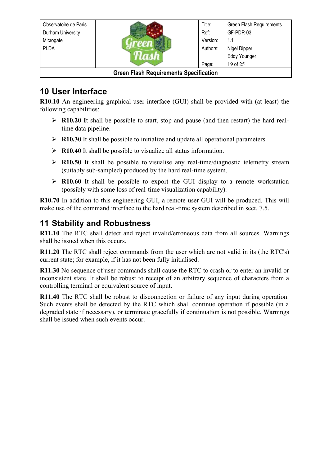| Observatoire de Paris                         |  | Title:   | Green Flash Requirements |
|-----------------------------------------------|--|----------|--------------------------|
| Durham University                             |  | Ref:     | GF-PDR-03                |
| Microgate                                     |  | Version: | 1.1                      |
| <b>PLDA</b>                                   |  | Authors: | Nigel Dipper             |
|                                               |  |          | <b>Eddy Younger</b>      |
|                                               |  | Page:    | 19 of 25                 |
| <b>Green Flash Requirements Specification</b> |  |          |                          |

# <span id="page-18-5"></span>**10 User Interface**

<span id="page-18-0"></span>**R10.10** An engineering graphical user interface (GUI) shall be provided with (at least) the following capabilities:

- <span id="page-18-11"></span>➢ **R10.20 I**t shall be possible to start, stop and pause (and then restart) the hard realtime data pipeline.
- <span id="page-18-10"></span>➢ **R10.30** It shall be possible to initialize and update all operational parameters.
- <span id="page-18-9"></span>➢ **R10.40** It shall be possible to visualize all status information.
- <span id="page-18-8"></span>➢ **R10.50** It shall be possible to visualise any real-time/diagnostic telemetry stream (suitably sub-sampled) produced by the hard real-time system.
- <span id="page-18-7"></span>➢ **R10.60** It shall be possible to export the GUI display to a remote workstation (possibly with some loss of real-time visualization capability).

<span id="page-18-6"></span>**R10.70** In addition to this engineering GUI, a remote user GUI will be produced. This will make use of the command interface to the hard real-time system described in sect. [7.5.](#page-9-3)

# <span id="page-18-1"></span>**11 Stability and Robustness**

<span id="page-18-4"></span>**R11.10** The RTC shall detect and reject invalid/erroneous data from all sources. Warnings shall be issued when this occurs.

<span id="page-18-3"></span>**R11.20** The RTC shall reject commands from the user which are not valid in its (the RTC's) current state; for example, if it has not been fully initialised.

<span id="page-18-2"></span>**R11.30** No sequence of user commands shall cause the RTC to crash or to enter an invalid or inconsistent state. It shall be robust to receipt of an arbitrary sequence of characters from a controlling terminal or equivalent source of input.

<span id="page-18-12"></span>**R11.40** The RTC shall be robust to disconnection or failure of any input during operation. Such events shall be detected by the RTC which shall continue operation if possible (in a degraded state if necessary), or terminate gracefully if continuation is not possible. Warnings shall be issued when such events occur.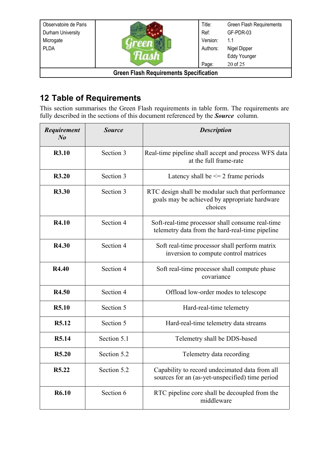| Observatoire de Paris                         |  | Title:   | Green Flash Requirements |  |  |
|-----------------------------------------------|--|----------|--------------------------|--|--|
| Durham University                             |  | Ref:     | GF-PDR-03                |  |  |
| Microgate                                     |  | Version: | 1.1                      |  |  |
| <b>PLDA</b>                                   |  | Authors: | Nigel Dipper             |  |  |
|                                               |  |          | <b>Eddy Younger</b>      |  |  |
| 20 of 25<br>Page:                             |  |          |                          |  |  |
| <b>Green Flash Requirements Specification</b> |  |          |                          |  |  |

# **12 Table of Requirements**

This section summarises the Green Flash requirements in table form. The requirements are fully described in the sections of this document referenced by the *Source* column.

| Requirement<br>N <sub>o</sub> | <b>Source</b> | <b>Description</b>                                                                                            |
|-------------------------------|---------------|---------------------------------------------------------------------------------------------------------------|
| <b>R3.10</b>                  | Section 3     | Real-time pipeline shall accept and process WFS data<br>at the full frame-rate                                |
| R3.20                         | Section 3     | Latency shall be $\leq$ 2 frame periods                                                                       |
| <b>R3.30</b>                  | Section 3     | RTC design shall be modular such that performance<br>goals may be achieved by appropriate hardware<br>choices |
| <b>R4.10</b>                  | Section 4     | Soft-real-time processor shall consume real-time<br>telemetry data from the hard-real-time pipeline           |
| R4.30                         | Section 4     | Soft real-time processor shall perform matrix<br>inversion to compute control matrices                        |
| R4.40                         | Section 4     | Soft real-time processor shall compute phase<br>covariance                                                    |
| R4.50                         | Section 4     | Offload low-order modes to telescope                                                                          |
| <b>R5.10</b>                  | Section 5     | Hard-real-time telemetry                                                                                      |
| R5.12                         | Section 5     | Hard-real-time telemetry data streams                                                                         |
| R5.14                         | Section 5.1   | Telemetry shall be DDS-based                                                                                  |
| R <sub>5.20</sub>             | Section 5.2   | Telemetry data recording                                                                                      |
| R <sub>5</sub> .22            | Section 5.2   | Capability to record undecimated data from all<br>sources for an (as-yet-unspecified) time period             |
| <b>R6.10</b>                  | Section 6     | RTC pipeline core shall be decoupled from the<br>middleware                                                   |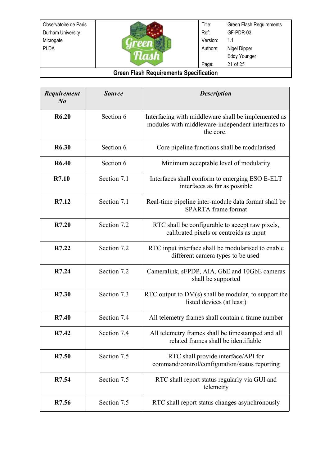

Title: Ref: Version: Authors: Page: Green Flash Requirements GF-PDR-03 1.1 Nigel Dipper Eddy Younger 21 of 25

| Requirement<br>$N_{0}$ | <b>Source</b> | <b>Description</b>                                                                                                    |
|------------------------|---------------|-----------------------------------------------------------------------------------------------------------------------|
| R6.20                  | Section 6     | Interfacing with middleware shall be implemented as<br>modules with middleware-independent interfaces to<br>the core. |
| R6.30                  | Section 6     | Core pipeline functions shall be modularised                                                                          |
| <b>R6.40</b>           | Section 6     | Minimum acceptable level of modularity                                                                                |
| R7.10                  | Section 7.1   | Interfaces shall conform to emerging ESO E-ELT<br>interfaces as far as possible                                       |
| R7.12                  | Section 7.1   | Real-time pipeline inter-module data format shall be<br><b>SPARTA</b> frame format                                    |
| R7.20                  | Section 7.2   | RTC shall be configurable to accept raw pixels,<br>calibrated pixels or centroids as input                            |
| R7.22                  | Section 7.2   | RTC input interface shall be modularised to enable<br>different camera types to be used                               |
| R7.24                  | Section 7.2   | Cameralink, sFPDP, AIA, GbE and 10GbE cameras<br>shall be supported                                                   |
| R7.30                  | Section 7.3   | RTC output to $DM(s)$ shall be modular, to support the<br>listed devices (at least)                                   |
| R7.40                  | Section 7.4   | All telemetry frames shall contain a frame number                                                                     |
| R7.42                  | Section 7.4   | All telemetry frames shall be timestamped and all<br>related frames shall be identifiable                             |
| R7.50                  | Section 7.5   | RTC shall provide interface/API for<br>command/control/configuration/status reporting                                 |
| R7.54                  | Section 7.5   | RTC shall report status regularly via GUI and<br>telemetry                                                            |
| R7.56                  | Section 7.5   | RTC shall report status changes asynchronously                                                                        |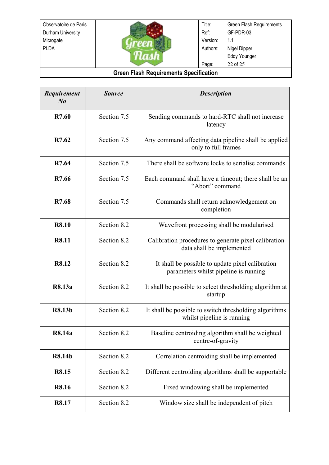

Title: Ref: Version: Authors: Page: Green Flash Requirements GF-PDR-03 1.1 Nigel Dipper Eddy Younger 22 of 25

| Requirement<br>$N_{0}$ | <b>Source</b> | <b>Description</b>                                                                        |
|------------------------|---------------|-------------------------------------------------------------------------------------------|
| R7.60                  | Section 7.5   | Sending commands to hard-RTC shall not increase<br>latency                                |
| R7.62                  | Section 7.5   | Any command affecting data pipeline shall be applied<br>only to full frames               |
| R7.64                  | Section 7.5   | There shall be software locks to serialise commands                                       |
| R7.66                  | Section 7.5   | Each command shall have a timeout; there shall be an<br>"Abort" command                   |
| R7.68                  | Section 7.5   | Commands shall return acknowledgement on<br>completion                                    |
| <b>R8.10</b>           | Section 8.2   | Wavefront processing shall be modularised                                                 |
| R8.11                  | Section 8.2   | Calibration procedures to generate pixel calibration<br>data shall be implemented         |
| R8.12                  | Section 8.2   | It shall be possible to update pixel calibration<br>parameters whilst pipeline is running |
| R8.13a                 | Section 8.2   | It shall be possible to select thresholding algorithm at<br>startup                       |
| <b>R8.13b</b>          | Section 8.2   | It shall be possible to switch thresholding algorithms<br>whilst pipeline is running      |
| R8.14a                 | Section 8.2   | Baseline centroiding algorithm shall be weighted<br>centre-of-gravity                     |
| <b>R8.14b</b>          | Section 8.2   | Correlation centroiding shall be implemented                                              |
| R8.15                  | Section 8.2   | Different centroiding algorithms shall be supportable                                     |
| R8.16                  | Section 8.2   | Fixed windowing shall be implemented                                                      |
| R8.17                  | Section 8.2   | Window size shall be independent of pitch                                                 |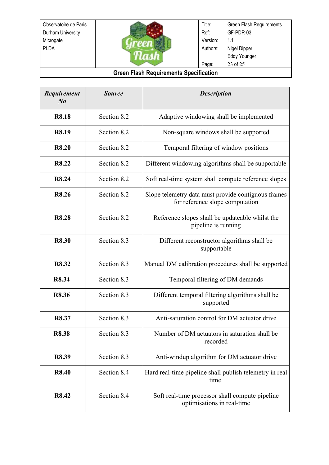

Title: Ref: Version: Authors: Page: Green Flash Requirements GF-PDR-03 1.1 Nigel Dipper Eddy Younger 23 of 25

| Requirement<br>$N_{0}$ | <b>Source</b> | <b>Description</b>                                                                     |
|------------------------|---------------|----------------------------------------------------------------------------------------|
| <b>R8.18</b>           | Section 8.2   | Adaptive windowing shall be implemented                                                |
| <b>R8.19</b>           | Section 8.2   | Non-square windows shall be supported                                                  |
| <b>R8.20</b>           | Section 8.2   | Temporal filtering of window positions                                                 |
| R8.22                  | Section 8.2   | Different windowing algorithms shall be supportable                                    |
| R8.24                  | Section 8.2   | Soft real-time system shall compute reference slopes                                   |
| <b>R8.26</b>           | Section 8.2   | Slope telemetry data must provide contiguous frames<br>for reference slope computation |
| <b>R8.28</b>           | Section 8.2   | Reference slopes shall be updateable whilst the<br>pipeline is running                 |
| <b>R8.30</b>           | Section 8.3   | Different reconstructor algorithms shall be<br>supportable                             |
| R8.32                  | Section 8.3   | Manual DM calibration procedures shall be supported                                    |
| R8.34                  | Section 8.3   | Temporal filtering of DM demands                                                       |
| <b>R8.36</b>           | Section 8.3   | Different temporal filtering algorithms shall be<br>supported                          |
| R8.37                  | Section 8.3   | Anti-saturation control for DM actuator drive                                          |
| R8.38                  | Section 8.3   | Number of DM actuators in saturation shall be<br>recorded                              |
| R8.39                  | Section 8.3   | Anti-windup algorithm for DM actuator drive                                            |
| <b>R8.40</b>           | Section 8.4   | Hard real-time pipeline shall publish telemetry in real<br>time.                       |
| R8.42                  | Section 8.4   | Soft real-time processor shall compute pipeline<br>optimisations in real-time          |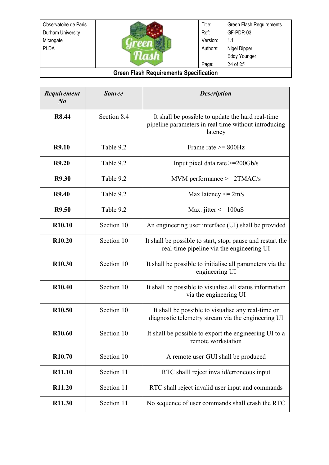

Title: Ref: Version: Authors: Page: Green Flash Requirements GF-PDR-03 1.1 Nigel Dipper Eddy Younger 24 of 25

| Requirement<br>$N_{0}$ | <b>Source</b> | <b>Description</b>                                                                                                   |
|------------------------|---------------|----------------------------------------------------------------------------------------------------------------------|
| <b>R8.44</b>           | Section 8.4   | It shall be possible to update the hard real-time<br>pipeline parameters in real time without introducing<br>latency |
| <b>R9.10</b>           | Table 9.2     | Frame rate $>= 800 Hz$                                                                                               |
| R9.20                  | Table 9.2     | Input pixel data rate $>=$ 200 $Gb/s$                                                                                |
| <b>R9.30</b>           | Table 9.2     | $MVM$ performance $>=$ 2TMAC/s                                                                                       |
| <b>R9.40</b>           | Table 9.2     | Max latency $\leq$ 2mS                                                                                               |
| R9.50                  | Table 9.2     | Max. jitter $\leq 100$ uS                                                                                            |
| R <sub>10.10</sub>     | Section 10    | An engineering user interface (UI) shall be provided                                                                 |
| R <sub>10.20</sub>     | Section 10    | It shall be possible to start, stop, pause and restart the<br>real-time pipeline via the engineering UI              |
| R <sub>10.30</sub>     | Section 10    | It shall be possible to initialise all parameters via the<br>engineering UI                                          |
| R <sub>10.40</sub>     | Section 10    | It shall be possible to visualise all status information<br>via the engineering UI                                   |
| R <sub>10.50</sub>     | Section 10    | It shall be possible to visualise any real-time or<br>diagnostic telemetry stream via the engineering UI             |
| R <sub>10.60</sub>     | Section 10    | It shall be possible to export the engineering UI to a<br>remote workstation                                         |
| R <sub>10.70</sub>     | Section 10    | A remote user GUI shall be produced                                                                                  |
| R11.10                 | Section 11    | RTC shalll reject invalid/erroneous input                                                                            |
| R11.20                 | Section 11    | RTC shall reject invalid user input and commands                                                                     |
| R11.30                 | Section 11    | No sequence of user commands shall crash the RTC                                                                     |